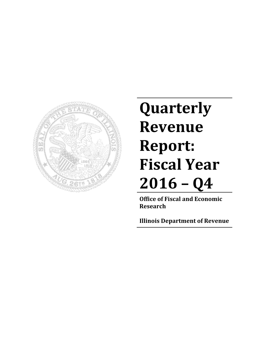

# **Quarterly Revenue Report: Fiscal Year 2016 – Q4**

**Office of Fiscal and Economic Research**

**Illinois Department of Revenue**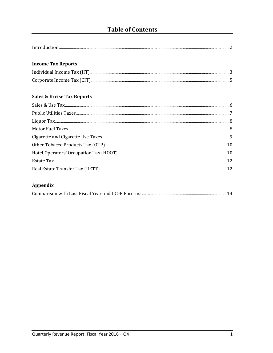# **Table of Contents**

| Introduc |  |
|----------|--|

#### **Income Tax Reports**

## **Sales & Excise Tax Reports**

## Appendix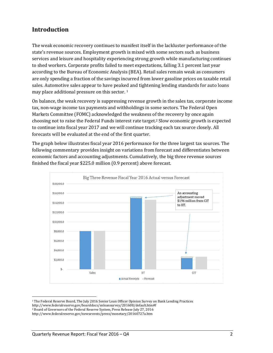## **Introduction**

The weak economic recovery continues to manifest itself in the lackluster performance of the state's revenue sources. Employment growth is mixed with some sectors such as business services and leisure and hospitality experiencing strong growth while manufacturing continues to shed workers. Corporate profits failed to meet expectations, falling 3.1 percent last year according to the Bureau of Economic Analysis (BEA). Retail sales remain weak as consumers are only spending a fraction of the savings incurred from lower gasoline prices on taxable retail sales. Automotive sales appear to have peaked and tightening lending standards for auto loans may place additional pressure on this sector.  $1$ 

On balance, the weak recovery is suppressing revenue growth in the sales tax, corporate income tax, non-wage income tax payments and withholdings in some sectors. The Federal Open Markets Committee (FOMC) acknowledged the weakness of the recovery by once again choosing not to raise the Federal Funds interest rate target.<sup>2</sup> Slow economic growth is expected to continue into fiscal year 2017 and we will continue tracking each tax source closely. All forecasts will be evaluated at the end of the first quarter.

The graph below illustrates fiscal year 2016 performance for the three largest tax sources. The following commentary provides insight on variations from forecast and differentiates between economic factors and accounting adjustments. Cumulatively, the big three revenue sources finished the fiscal year \$225.0 million (0.9 percent) above forecast.



<sup>&</sup>lt;sup>1</sup> The Federal Reserve Board, The July 2016 Senior Loan Officer Opinion Survey on Bank Lending Practices

http://www.federalreserve.gov/boarddocs/snloansurvey/201608/default.htm#f 

<sup>&</sup>lt;sup>2</sup> Board of Governors of the Federal Reserve System, Press Release July 27, 2016

http://www.federalreserve.gov/newsevents/press/monetary/20160727a.htm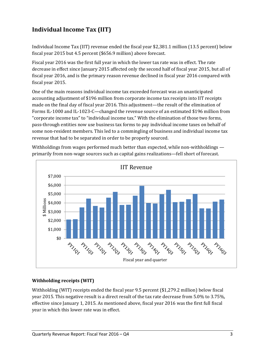## **Individual Income Tax (IIT)**

Individual Income Tax (IIT) revenue ended the fiscal year \$2,381.1 million (13.5 percent) below fiscal year 2015 but 4.5 percent (\$656.9 million) above forecast.

Fiscal year 2016 was the first full year in which the lower tax rate was in effect. The rate decrease in effect since January 2015 affected only the second half of fiscal year 2015, but all of fiscal year 2016, and is the primary reason revenue declined in fiscal year 2016 compared with fiscal year 2015.

One of the main reasons individual income tax exceeded forecast was an unanticipated accounting adjustment of \$196 million from corporate income tax receipts into IIT receipts made on the final day of fiscal year 2016. This adjustment—the result of the elimination of Forms IL-1000 and IL-1023-C—changed the revenue source of an estimated \$196 million from "corporate income tax" to "individual income tax." With the elimination of those two forms, pass-through entities now use business tax forms to pay individual income taxes on behalf of some non-resident members. This led to a commingling of business and individual income tax revenue that had to be separated in order to be properly sourced.

Withholdings from wages performed much better than expected, while non-withholdings  $$ primarily from non-wage sources such as capital gains realizations—fell short of forecast.



#### **Withholding receipts (WIT)**

Withholding (WIT) receipts ended the fiscal year 9.5 percent  $$1,279.2$  million) below fiscal year 2015. This negative result is a direct result of the tax rate decrease from 5.0% to 3.75%, effective since January 1, 2015. As mentioned above, fiscal year 2016 was the first full fiscal year in which this lower rate was in effect.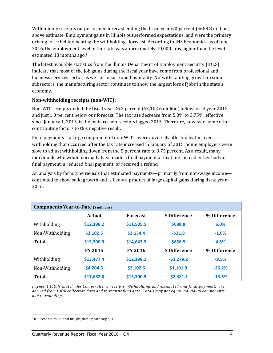Withholding receipts outperformed forecast ending the fiscal year  $6.0$  percent  $(\$688.8 \text{ million})$ above estimate. Employment gains in Illinois outperformed expectations, and were the primary driving force behind beating the withholdings forecast. According to IHS Economics, as of June 2016, the employment level in the state was approximately 40,000 jobs higher than the level estimated 18 months ago.<sup>3</sup>

The latest available statistics from the Illinois Department of Employment Security (IDES) indicate that most of the job gains during the fiscal year have come from professional and business services sector, as well as leisure and hospitality. Notwithstanding growth in some subsectors, the manufacturing sector continues to show the largest loss of jobs in the state's economy. 

#### **Non‐withholding receipts (non‐WIT):**

Non-WIT receipts ended the fiscal year 26.2 percent (\$3,102.6 million) below fiscal year 2015 and just 1.0 percent below our forecast. The tax rate decrease from 5.0% to 3.75%, effective since January 1, 2015, is the main reason receipts lagged 2015. There are, however, some other contributing factors to this negative result.

Final payments—a large component of non-WIT—were adversely affected by the overwithholding that occurred after the tax rate increased in January of 2015. Some employers were slow to adjust withholding down from the 5 percent rate to 3.75 percent. As a result, many individuals who would normally have made a final payment at tax time instead either had no final payment, a reduced final payment, or received a refund.

An analysis by form type reveals that estimated payments—primarily from non-wage income continued to show solid growth and is likely a product of large capital gains during fiscal year 2016. 

| <b>Components Year-to-Date (\$ millions)</b> |                |                 |               |              |
|----------------------------------------------|----------------|-----------------|---------------|--------------|
|                                              | <b>Actual</b>  | <b>Forecast</b> | \$ Difference | % Difference |
| Withholding                                  | \$12,198.2     | \$11,509.5      | \$688.8       | 6.0%         |
| Non-Withholding                              | \$3,102.6      | \$3,134.4       | $-531.8$      | $-1.0%$      |
| Total                                        | \$15,300.9     | \$14,643.9      | \$656.9       | 4.5%         |
|                                              | <b>FY 2015</b> | <b>FY 2016</b>  | \$ Difference | % Difference |
| Withholding                                  | \$13,477.4     | \$12,198.2      | $-51,279.2$   | $-9.5%$      |
| Non-Withholding                              | \$4,204.5      | \$3,102.6       | \$1,101.9     | $-26.2%$     |
| <b>Total</b>                                 | \$17,682.0     | \$15,300.9      | $-52,381.1$   | $-13.5%$     |

*Payment totals match the Comptroller's receipts. Withholding and estimated and final payments are derived from IDOR collection data and in‐transit fund data. Totals may not equal individual components* due to rounding.

<sup>&</sup>lt;sup>3</sup> IHS Economics - Global Insight, data update July 2016.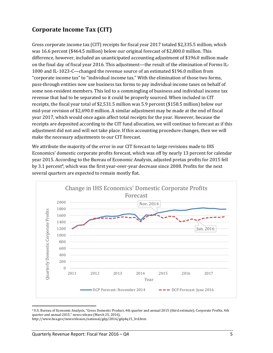## **Corporate Income Tax (CIT)**

Gross corporate income tax (CIT) receipts for fiscal year 2017 totaled \$2,335.5 million, which was 16.6 percent (\$464.5 million) below our original forecast of \$2,800.0 million. This difference, however, included an unanticipated accounting adjustment of \$196.0 million made on the final day of fiscal year 2016. This adjustment—the result of the elimination of Forms IL-1000 and IL-1023-C—changed the revenue source of an estimated \$196.0 million from "corporate income tax" to "individual income tax." With the elimination of those two forms, pass-through entities now use business tax forms to pay individual income taxes on behalf of some non-resident members. This led to a commingling of business and individual income tax revenue that had to be separated so it could be properly sourced. When included in CIT receipts, the fiscal year total of \$2,531.5 million was 5.9 percent (\$158.5 million) below our mid-year revision of \$2,690.0 million. A similar adjustment may be made at the end of fiscal year 2017, which would once again affect total receipts for the year. However, because the receipts are deposited according to the CIT fund allocation, we will continue to forecast as if this adjustment did not and will not take place. If this accounting procedure changes, then we will make the necessary adjustments to our CIT forecast.

We attribute the majority of the error in our CIT forecast to large revisions made to IHS Economics' domestic corporate profits forecast, which was off by nearly 13 percent for calendar year 2015. According to the Bureau of Economic Analysis, adjusted pretax profits for 2015 fell by 3.1 percent<sup>4</sup>, which was the first year-over-year decrease since 2008. Profits for the next several quarters are expected to remain mostly flat.



<sup>&</sup>lt;sup>4</sup> U.S. Bureau of Economic Analysis, "Gross Domestic Product, 4th quarter and annual 2015 (third estimate); Corporate Profits, 4th quarter and annual 2015," news release (March 25, 2016),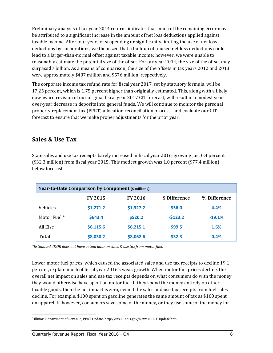Preliminary analysis of tax year 2014 returns indicates that much of the remaining error may be attributed to a significant increase in the amount of net loss deductions applied against taxable income. After four years of suspending or significantly limiting the use of net loss deductions by corporations, we theorized that a buildup of unused net loss deductions could lead to a larger-than-normal offset against taxable income; however, we were unable to reasonably estimate the potential size of the offset. For tax year 2014, the size of the offset may surpass \$7 billion. As a means of comparison, the size of the offsets in tax years 2012 and 2013 were approximately \$407 million and \$576 million, respectively.

The corporate income tax refund rate for fiscal year 2017, set by statutory formula, will be 17.25 percent, which is 1.75 percent higher than originally estimated. This, along with a likely downward revision of our original fiscal year 2017 CIT forecast, will result in a modest yearover-year decrease in deposits into general funds. We will continue to monitor the personal property replacement tax (PPRT) allocation reconciliation process<sup>5</sup> and evaluate our CIT forecast to ensure that we make proper adjustments for the prior year.

## **Sales & Use Tax**

State sales and use tax receipts barely increased in fiscal year 2016, growing just 0.4 percent (\$32.3 million) from fiscal year 2015. This modest growth was 1.0 percent (\$77.4 million) below forecast. 

|              | <b>Year-to-Date Comparison by Component (\$ millions)</b> |                |               |              |
|--------------|-----------------------------------------------------------|----------------|---------------|--------------|
|              | <b>FY 2015</b>                                            | <b>FY 2016</b> | \$ Difference | % Difference |
| Vehicles     | \$1,271.2                                                 | \$1,327.2      | \$56.0        | 4.4%         |
| Motor Fuel * | \$643.4                                                   | \$520.2        | $-5123.2$     | $-19.1%$     |
| All Else     | \$6,115.6                                                 | \$6,215.1      | \$99.5        | 1.6%         |
| Total        | \$8,030.2                                                 | \$8,062.6      | \$32.3        | 0.4%         |

*\*Estimated. IDOR does not have actual data on sales & use tax from motor fuel.*

Lower motor fuel prices, which caused the associated sales and use tax receipts to decline 19.1 percent, explain much of fiscal year 2016's weak growth. When motor fuel prices decline, the overall net impact on sales and use tax receipts depends on what consumers do with the money they would otherwise have spent on motor fuel. If they spend the money entirely on other taxable goods, then the net impact is zero, even if the sales and use tax receipts from fuel sales decline. For example, \$100 spent on gasoline generates the same amount of tax as \$100 spent on apparel. If, however, consumers save some of the money, or they use some of the money for

 <sup>5</sup> Illinois Department of Revenue, PPRT Update. http://tax.illinois.gov/News/PPRT-Update.htm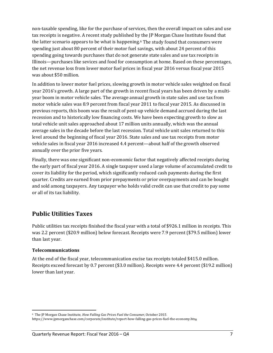non-taxable spending, like for the purchase of services, then the overall impact on sales and use tax receipts is negative. A recent study published by the IP Morgan Chase Institute found that the latter scenario appears to be what is happening.<sup>6</sup> The study found that consumers were spending just about 80 percent of their motor fuel savings, with about 24 percent of this spending going towards purchases that do not generate state sales and use tax receipts in Illinois—purchases like sevices and food for consumption at home. Based on these percentages, the net revenue loss from lower motor fuel prices in fiscal year 2016 versus fiscal year 2015 was about \$50 million.

In addition to lower motor fuel prices, slowing growth in motor vehicle sales weighted on fiscal year 2016's growth. A large part of the growth in recent fiscal years has been driven by a multiyear boom in motor vehicle sales. The average annual growth in state sales and use tax from motor vehicle sales was 8.9 percent from fiscal year 2011 to fiscal year 2015. As discussed in previous reports, this boom was the result of pent-up vehicle demand accrued during the last recession and to historically low financing costs. We have been expecting growth to slow as total vehicle unit sales approached about 17 million units annually, which was the annual average sales in the decade before the last recession. Total vehicle unit sales returned to this level around the beginning of fiscal year 2016. State sales and use tax receipts from motor vehicle sales in fiscal year 2016 increased 4.4 percent—about half of the growth observed annually over the prior five years.

Finally, there was one significant non-ecomomic factor that negatively affected receipts during the early part of fiscal year 2016. A single taxpayer used a large volume of accumulated credit to cover its liability for the period, which significantly reduced cash payments during the first quarter. Credits are earned from prior prepayments or prior overpayments and can be bought and sold among taxpayers. Any taxpayer who holds valid credit can use that credit to pay some or all of its tax liability.

## **Public Utilities Taxes**

Public utilities tax receipts finished the fiscal year with a total of \$926.1 million in receipts. This was 2.2 percent (\$20.9 million) below forecast. Receipts were 7.9 percent (\$79.5 million) lower than last year.

#### **Telecommunications**

At the end of the fiscal year, telecommunication excise tax receipts totaled \$415.0 million. Receipts exceed forecast by 0.7 percent (\$3.0 million). Receipts were 4.4 percent (\$19.2 million) lower than last year.

 6 The JP Morgan Chase Institute, *How Falling Gas Prices Fuel the Consumer*, October 2015. 

https://www.jpmorganchase.com/corporate/institute/report‐how‐falling‐gas‐prices‐fuel‐the‐economy.htm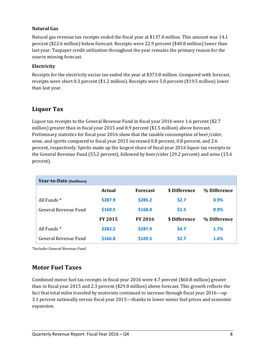#### **Natural Gas**

Natural gas revenue tax receipts ended the fiscal year at \$137.4 million. This amount was 14.1 percent (\$22.6 million) below forecast. Receipts were 22.9 percent (\$40.8 million) lower than last year. Taxpayer credit utilization throughout the year remains the primary reason for the source missing forecast.

#### **Electricity**

Receipts for the electricity excise tax ended the year at \$373.8 million. Compared with forecast, receipts were short 0.3 percent (\$1.2 million). Receipts were 5.0 percent (\$19.5 million) lower than last year.

## **Liquor Tax**

Liquor tax receipts to the General Revenue Fund in fiscal year  $2016$  were 1.6 percent (\$2.7 million) greater than in fiscal year 2015 and 0.9 percent  $$1.5$  million) above forecast. Preliminary statistics for fiscal year 2016 show that the taxable consumption of beer/cider, wine, and spirits compared to fiscal year 2015 increased 0.8 percent, 0.8 percent, and 2.6 percent, respectively. Spirits made up the largest share of fiscal year 2016 liquor tax receipts to the General Revenue Fund (55.2 percent), followed by beer/cider (29.2 percent) and wine (15.6 percent). 

| Year-to-Date (\$millions) |                |                 |               |              |
|---------------------------|----------------|-----------------|---------------|--------------|
|                           | <b>Actual</b>  | <b>Forecast</b> | \$ Difference | % Difference |
| All Funds <sup>*</sup>    | \$287.9        | \$285.2         | \$2.7         | 0.9%         |
| General Revenue Fund      | \$169.5        | \$168.0         | \$1.5         | 0.9%         |
|                           | <b>FY 2015</b> | <b>FY 2016</b>  | \$ Difference | % Difference |
| All Funds <sup>*</sup>    | \$283.2        | \$287.9         | \$4.7         | 1.7%         |
| General Revenue Fund      | \$166.8        | \$169.5         | \$2.7         | 1.6%         |

*\*Includes General Revenue Fund*

## **Motor Fuel Taxes**

Combined motor fuel tax receipts in fiscal year 2016 were 4.7 percent (\$60.8 million) greater than in fiscal year 2015 and 2.3 percent  $(\$29.8$  million) above forecast. This growth reflects the fact that total miles traveled by motorists continued to increase through fiscal year 2016—up 3.1 percent nationally versus fiscal year 2015—thanks to lower motor fuel prices and economic expansion.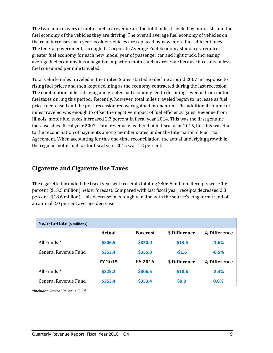The two main drivers of motor fuel tax revenue are the total miles traveled by motorists and the fuel economy of the vehicles they are driving. The overall average fuel economy of vehicles on the road increases each year as older vehicles are replaced by new, more fuel-efficient ones. The federal government, through its Corporate Average Fuel Economy standards, requires greater fuel economy for each new model year of passenger car and light truck. Increasing average fuel economy has a negative impact on motor fuel tax revenue because it results in less fuel consumed per mile traveled.

Total vehicle miles traveled in the United States started to decline around 2007 in response to rising fuel prices and then kept declining as the economy contracted during the last recession. The combination of less driving and greater fuel economy led to declining revenue from motor fuel taxes during this period. Recently, however, total miles traveled began to increase as fuel prices decreased and the post-recession recovery gained momentum. The additional volume of miles traveled was enough to offset the negative impact of fuel efficiency gains. Revenue from Illinois' motor fuel taxes increased 2.7 percent in fiscal year 2014. This was the first genuine increase since fiscal year 2007. Total revenue was then flat in fiscal year 2015, but this was due to the reconciliation of payments among member states under the International Fuel Tax Agreement. When accounting for this one-time reconciliation, the actual underlying growth in the regular motor fuel tax for fiscal year 2015 was 1.2 percent.

## **Cigarette and Cigarette Use Taxes**

The cigarette tax ended the fiscal year with receipts totaling  $$806.5$  million. Receipts were 1.6 percent (\$13.5 million) below forecast. Compared with last fiscal year, receipts decreased 2.3 percent (\$18.6 million). This decrease falls roughly in line with the source's long term trend of an annual 2.0 percent average decrease.

| Year-to-Date (\$ millions) |                |                 |               |              |
|----------------------------|----------------|-----------------|---------------|--------------|
|                            | <b>Actual</b>  | <b>Forecast</b> | \$ Difference | % Difference |
| All Funds $*$              | \$806.5        | \$820.0         | $-513.5$      | $-1.6%$      |
| General Revenue Fund       | \$353.4        | \$355.0         | $-51.6$       | $-0.5%$      |
|                            | <b>FY 2015</b> | <b>FY 2016</b>  | \$ Difference | % Difference |
| All Funds $*$              | \$825.2        | \$806.5         | $-518.6$      | $-2.3%$      |
| General Revenue Fund       | \$353.4        | \$353.4         | \$0.0\$       | 0.0%         |

*\*Includes General Revenue Fund*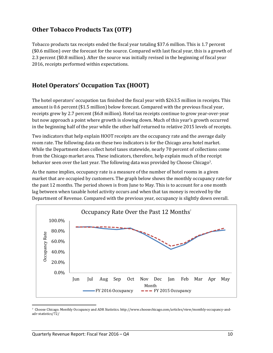## **Other Tobacco Products Tax (OTP)**

Tobacco products tax receipts ended the fiscal year totaling \$37.6 million. This is 1.7 percent (\$0.6 million) over the forecast for the source. Compared with last fiscal year, this is a growth of 2.3 percent (\$0.8 million). After the source was initially revised in the beginning of fiscal year 2016, receipts performed within expectations.

## **Hotel Operators' Occupation Tax (HOOT)**

The hotel operators' occupation tax finished the fiscal year with \$263.5 million in receipts. This amount is 0.6 percent  $(\$1.5\text{ million})$  below forecast. Compared with the previous fiscal year, receipts grew by 2.7 percent (\$6.8 million). Hotel tax receipts continue to grow year-over-year but now approach a point where growth is slowing down. Much of this year's growth occurred in the beginning half of the year while the other half returned to relative 2015 levels of receipts.

Two indicators that help explain HOOT receipts are the occupancy rate and the average daily room rate. The following data on these two indicators is for the Chicago area hotel market. While the Department does collect hotel taxes statewide, nearly 70 percent of collections come from the Chicago market area. These indicators, therefore, help explain much of the receipt behavior seen over the last year. The following data was provided by Choose Chicago<sup>7</sup>.

As the name implies, occupancy rate is a measure of the number of hotel rooms in a given market that are occupied by customers. The graph below shows the monthly occupancy rate for the past 12 months. The period shown is from June to May. This is to account for a one month lag between when taxable hotel activity occurs and when that tax money is received by the Department of Revenue. Compared with the previous year, occupancy is slightly down overall.



 7 Choose Chicago. Monthly Occupancy and ADR Statistics. http://www.choosechicago.com/articles/view/monthly-occupancy-andadr‐statistics/72/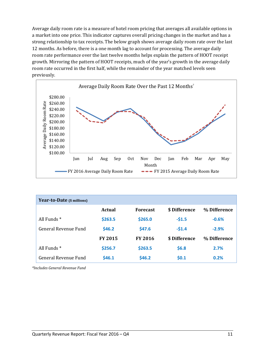Average daily room rate is a measure of hotel room pricing that averages all available options in a market into one price. This indicator captures overall pricing changes in the market and has a strong relationship to tax receipts. The below graph shows average daily room rate over the last 12 months. As before, there is a one month lag to account for processing. The average daily room rate performance over the last twelve months helps explain the pattern of HOOT receipt growth. Mirroring the pattern of HOOT receipts, much of the year's growth in the average daily room rate occurred in the first half, while the remainder of the year matched levels seen previously. 



| <b>Year-to-Date</b> (\$ millions) |                |                 |               |              |
|-----------------------------------|----------------|-----------------|---------------|--------------|
|                                   | <b>Actual</b>  | <b>Forecast</b> | \$ Difference | % Difference |
| All Funds <sup>*</sup>            | \$263.5        | \$265.0         | $-51.5$       | $-0.6%$      |
| General Revenue Fund              | \$46.2\$       | \$47.6          | $-51.4$       | $-2.9%$      |
|                                   | <b>FY 2015</b> | <b>FY 2016</b>  | \$ Difference | % Difference |
| All Funds <sup>*</sup>            | \$256.7        | \$263.5         | \$6.8         | 2.7%         |
| General Revenue Fund              | \$46.1         | \$46.2          | \$0.1         | 0.2%         |

*\*Includes General Revenue Fund*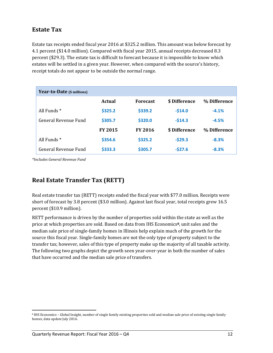## **Estate Tax**

Estate tax receipts ended fiscal year 2016 at \$325.2 million. This amount was below forecast by 4.1 percent (\$14.0 million). Compared with fiscal year 2015, annual receipts decreased 8.3 percent (\$29.3). The estate tax is difficult to forecast because it is impossible to know which estates will be settled in a given year. However, when compared with the source's history, receipt totals do not appear to be outside the normal range.

| <b>Year-to-Date</b> (\$ millions) |                |                 |               |              |
|-----------------------------------|----------------|-----------------|---------------|--------------|
|                                   | Actual         | <b>Forecast</b> | \$ Difference | % Difference |
| All Funds <sup>*</sup>            | \$325.2        | \$339.2         | $-514.0$      | $-4.1%$      |
| General Revenue Fund              | \$305.7        | \$320.0         | $-514.3$      | $-4.5%$      |
|                                   | <b>FY 2015</b> | <b>FY 2016</b>  | \$ Difference | % Difference |
| All Funds <sup>*</sup>            | \$354.6        | \$325.2         | $-529.3$      | $-8.3%$      |
| General Revenue Fund              | \$333.3        | \$305.7         | $-527.6$      | $-8.3%$      |

*\*Includes General Revenue Fund*

## **Real Estate Transfer Tax (RETT)**

Real estate transfer tax (RETT) receipts ended the fiscal year with \$77.0 million. Receipts were short of forecast by 3.8 percent (\$3.0 million). Against last fiscal year, total receipts grew 16.5 percent (\$10.9 million).

RETT performance is driven by the number of properties sold within the state as well as the price at which properties are sold. Based on data from IHS Economics<sup>8</sup>, unit sales and the median sale price of single-family homes in Illinois help explain much of the growth for the source this fiscal year. Single-family homes are not the only type of property subject to the transfer tax; however, sales of this type of property make up the majority of all taxable activity. The following two graphs depict the growth seen year-over-year in both the number of sales that have occurred and the median sale price of transfers.

 <sup>8</sup> IHS Economics – Global Insight, number of single family existing properties sold and median sale price of existing single family homes, data update July 2016.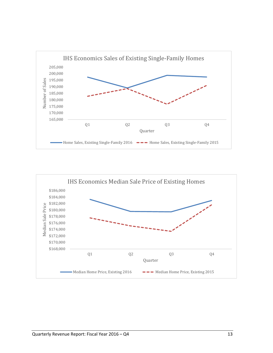

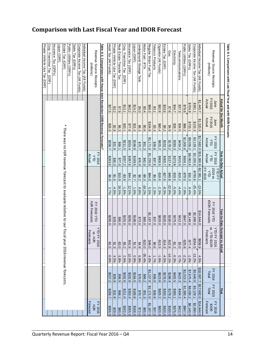# **Comparison with Last Fiscal Year and IDOR Forecast**

| Table A-1. Comparisons with Last Fiscal Year and with IDOR Forecasts        |                             |                         |                     |                     |                          |                           |                                                                                                          |                                               |                 |                   |                   |                               |
|-----------------------------------------------------------------------------|-----------------------------|-------------------------|---------------------|---------------------|--------------------------|---------------------------|----------------------------------------------------------------------------------------------------------|-----------------------------------------------|-----------------|-------------------|-------------------|-------------------------------|
|                                                                             | <b>Actual for the Month</b> |                         |                     | Year-to-Date Actual |                          |                           |                                                                                                          | Year-to-Date Forecast vs.<br>Actual           |                 |                   | Year              |                               |
| Revenue Source Receipts                                                     | June                        | June                    | FY 2015             | FY 2016             | 2016 vs<br><b>YTD FY</b> |                           | <b>FY 2016 YTD</b>                                                                                       | <b>YTD FY 2016</b>                            |                 | FY 2014           | FY 2015           | <b>FY 2016</b>                |
| (millions)                                                                  | FY2015<br>Actual            | <b>FY2016</b><br>Actual | Actual<br>$\exists$ | Actual<br>á         | <b>FY 2015</b><br>УTD    |                           | DOR Forecasts                                                                                            | W. Y TD IDOR<br>Forecasts                     |                 | Total             | Total             | <b>Forecast</b><br><b>DOR</b> |
| Individual Income Tax (All Funds)                                           | \$1,445.7                   | \$1,520.5               | \$17,682.0          | \$15,300.9          | $-22,381.1$              | $-13.5%$                  | \$14,644.0                                                                                               | 6.999\$                                       | 4.5%            | \$18,387.7        | \$17,682.0        | \$14,644.0                    |
| Corporate Income Tax (All Funds)                                            | 1391.1                      | \$133.3                 | \$3,129.1           | \$2,335.5           | $-5.793.6$               | $-25.4%$                  | \$2,690.0                                                                                                | -\$354.5                                      | $-13.2%$        | \$3,640.0         | \$3,129.1         | \$2,690.0                     |
| Sales Tax (GRFs)                                                            | \$704.9                     | \$733.1                 | \$8,030.2           | \$8,062.6           | \$32.3                   | 0.4%                      | \$8,140.0                                                                                                | $-577.4$                                      | -1.0%           | \$7,675.4         | \$8,030.2         | \$8,140.0                     |
| Public Utilities (GRFs)                                                     | 8.979.8                     | \$68.2                  | \$1,005.6           | \$926.1             | $-279.5$                 | -7.9%                     | 0'1+6\$                                                                                                  | -\$20.9                                       | -2.2%           | \$1,013.3         | \$1,005.4         | \$947.0                       |
| Telecommunications                                                          | \$37.3                      | \$34.5                  | \$434.2             | \$415.0             | $-219.2$                 | $-4.4%$                   | \$412.0                                                                                                  |                                               | 0.7%            | \$422.3           | \$434.2           | \$412.0                       |
| Electricity                                                                 | 534.7                       | 7.82\$                  | \$393.3             | \$373.8             | $-219.5$                 | -5.0%                     | \$375.0                                                                                                  | $rac{33}{25}$<br>$rac{6}{25}$<br>$rac{6}{25}$ | -0.3%           | \$402.5           | \$393.1           | \$375.0                       |
| Gas                                                                         | \$7.8                       | \$4.9                   | \$178.2             | \$137.4             | -\$40.8                  | $-22.9%$                  | \$160.0                                                                                                  |                                               | $-14.1%$        | \$188.4           | \$178.2           | \$160.0                       |
| Estate Tax (GRF)                                                            | \$33.6                      | 29.2                    | \$333.3             | \$305.7             | $-527.6$                 | $-8.3%$                   | \$320.0                                                                                                  | $-314.3$                                      | $-4.5%$         | \$276.5           | \$333.3           | \$320.0                       |
| Cigarette (All Funds)                                                       | \$82.8                      | \$60.4                  | \$825.2             | \$806.5             | -\$18.6                  | -2.3%                     | \$820.0                                                                                                  | $-313.5$                                      | -1.6%           | \$823.8           | \$825.2           | \$820.0                       |
| obacco Products                                                             | \$3.1                       | \$3.3                   | \$36.8              | 837.6               | \$0.8                    | 2.3%                      | 0'28\$                                                                                                   | $rac{6}{10}$                                  | 1.7%            | \$36.0            | \$36.8            | \$37.0                        |
| Regular Motor Fuel Tax                                                      | \$88.3                      | \$104.8                 | \$1,171.0           | \$1,235.0           | \$64.0                   | 5.5%                      | \$1,187.0                                                                                                | $rac{6}{248.0}$                               | 4.0%            | \$1,157.0         | \$1,171.0         | \$1,187.0                     |
| Motor Fuel - IFTA                                                           | \$0.4                       | \$0.6                   | \$51.3              | \$42.0              | -\$9.3                   | $-18.2%$                  | \$65.0                                                                                                   | $-523.0$                                      | $-35.4%$        | \$66.2            | \$51.3            | \$65.0                        |
| Underground Storage Tank<br>-iquor (GRF)                                    | 214.2<br>\$55.0             | \$15.3<br>\$6.3         | \$166.8<br>\$70.7   | \$169.5<br>\$76.9   | 7.2\$<br>\$6.2           | 8.8%<br>$\frac{1.6\%}{2}$ | \$168.0<br>\$72.0                                                                                        | $rac{34.5}{31.5}$                             | 6.8%<br>$0.9\%$ | \$164.5<br>\$70.5 | \$166.8<br>\$70.7 | \$168.0<br>\$72.0             |
| nsurance Tax (GRF)                                                          | \$63.2                      | \$77.8                  | \$353.4             | 8397.6              | \$44.1                   | 12.5%                     | \$355.0                                                                                                  | $rac{642.6}{5}$                               | 12.0%           | \$332.6           | \$353.4           | \$355.0                       |
| Corp. Franchise Tax (GRF)                                                   | \$13.1                      | \$20.1                  | \$211.0             | 207.2               | -\$3.8                   | -1.8%                     | \$202.0                                                                                                  |                                               | 2.6%            | \$202.6           | 0.11.8            | \$202.0                       |
| Real Estate Transfer Tax                                                    | $6 - 3$                     | \$6.3                   | \$66.1              | \$77.0              | \$10.9                   | 16.5%                     | \$80.0                                                                                                   | <u>အမြီး</u><br>အမြစ်                         | $-3.8%$         | \$56.5            | \$66.1            | \$80.0                        |
| Private Vehicle Use Tax (GRF)                                               | \$3.2                       | \$2.8                   | \$31.9              | \$30.3              | $-51.6$                  | $-4.9%$                   | 629.0                                                                                                    |                                               | 4.5%            | \$28.9            | 831.9             | \$29.0                        |
| Hotel Tax (All Funds)                                                       | 527.5                       | \$26.3                  | 5256.7              | \$263.5             | \$6.8                    | 2.7%                      | \$265.0                                                                                                  | $-51.5$                                       | -0.6%           | \$227.2           | 1256.7            | \$265.0                       |
| Table A-2. Comparisons with House Joint Resolution (HJR) Revenue Forecasts* |                             |                         |                     |                     |                          |                           |                                                                                                          |                                               |                 |                   |                   |                               |
| Revenue Source Receipts                                                     |                             |                         |                     | FY 2016<br>À        |                          |                           | <b>FY 2016 YTD</b>                                                                                       | <b>YTD FY 20</b><br>NS. HJR<br>ಕ              |                 |                   |                   | <b>FY 2016</b><br>$\vec{r}$   |
| (millions)                                                                  |                             |                         |                     | Actual              |                          |                           | <b>HJR Forecasts</b>                                                                                     | Forecasts                                     |                 |                   |                   | <b>Forecast</b>               |
| Individual Income Tax (All Funds)                                           |                             |                         |                     |                     |                          |                           |                                                                                                          |                                               |                 |                   |                   |                               |
| Corporate Income Tax (All Funds)                                            |                             |                         |                     |                     |                          |                           |                                                                                                          |                                               |                 |                   |                   |                               |
| Sales Tax (GRFs)                                                            |                             |                         |                     |                     |                          |                           |                                                                                                          |                                               |                 |                   |                   |                               |
| Public Utilities (GRFs)                                                     |                             |                         |                     |                     |                          |                           |                                                                                                          |                                               |                 |                   |                   |                               |
| Estate Tax (GRF)                                                            |                             | ₩                       |                     |                     |                          |                           | There was not Hyter termine forecast to build a prive to build the product of the SQ16 revenue forecasts |                                               |                 |                   |                   |                               |
| Liquor (GRF)                                                                |                             |                         |                     |                     |                          |                           |                                                                                                          |                                               |                 |                   |                   |                               |
| Insurance Tax (GRFs                                                         |                             |                         |                     |                     |                          |                           |                                                                                                          |                                               |                 |                   |                   |                               |
| Corp. Franchise Tax<br>GRE)                                                 |                             |                         |                     |                     |                          |                           |                                                                                                          |                                               |                 |                   |                   |                               |
| Private Vericle Dae Tax (GRF)                                               |                             |                         |                     |                     |                          |                           |                                                                                                          |                                               |                 |                   |                   |                               |
|                                                                             |                             |                         |                     |                     |                          |                           |                                                                                                          |                                               |                 |                   |                   |                               |